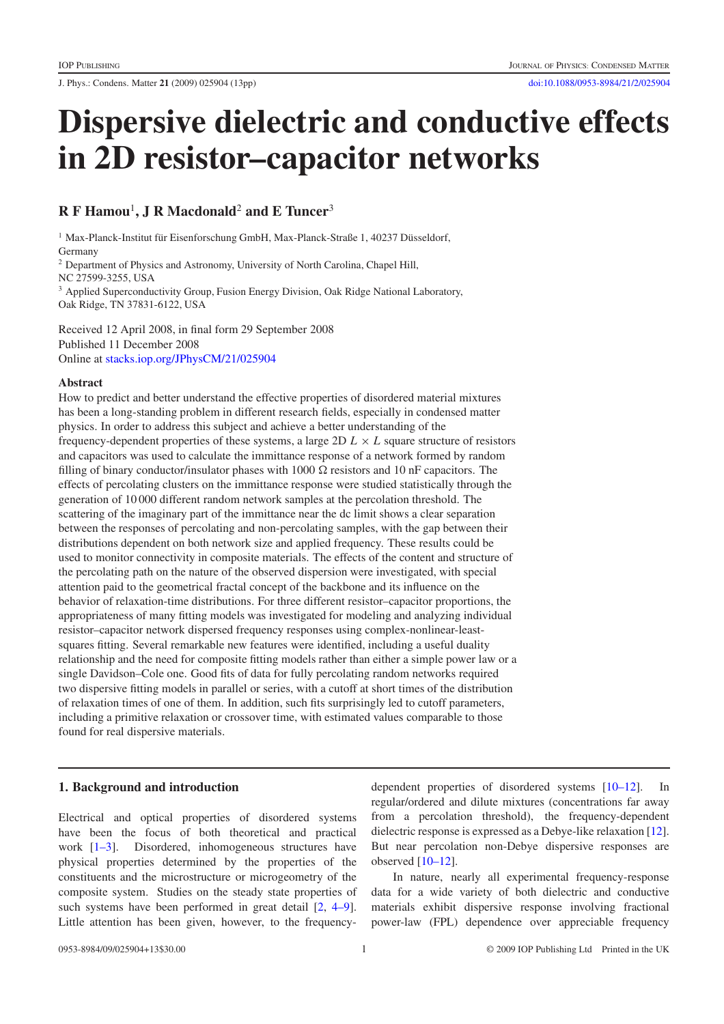J. Phys.: Condens. Matter **21** (2009) 025904 (13pp) [doi:10.1088/0953-8984/21/2/025904](http://dx.doi.org/10.1088/0953-8984/21/2/025904)

# **Dispersive dielectric and conductive effects in 2D resistor–capacitor networks**

# **R F Hamou**<sup>1</sup> **, J R Macdonald**<sup>2</sup> **and E Tuncer**<sup>3</sup>

<sup>1</sup> Max-Planck-Institut für Eisenforschung GmbH, Max-Planck-Straße 1, 40237 Düsseldorf, Germany

<sup>2</sup> Department of Physics and Astronomy, University of North Carolina, Chapel Hill, NC 27599-3255, USA

<sup>3</sup> Applied Superconductivity Group, Fusion Energy Division, Oak Ridge National Laboratory, Oak Ridge, TN 37831-6122, USA

Received 12 April 2008, in final form 29 September 2008 Published 11 December 2008 Online at [stacks.iop.org/JPhysCM/21/025904](http://stacks.iop.org/JPhysCM/21/025904)

#### **Abstract**

How to predict and better understand the effective properties of disordered material mixtures has been a long-standing problem in different research fields, especially in condensed matter physics. In order to address this subject and achieve a better understanding of the frequency-dependent properties of these systems, a large 2D  $L \times L$  square structure of resistors and capacitors was used to calculate the immittance response of a network formed by random filling of binary conductor/insulator phases with  $1000 \Omega$  resistors and  $10 \text{ nF}$  capacitors. The effects of percolating clusters on the immittance response were studied statistically through the generation of 10 000 different random network samples at the percolation threshold. The scattering of the imaginary part of the immittance near the dc limit shows a clear separation between the responses of percolating and non-percolating samples, with the gap between their distributions dependent on both network size and applied frequency. These results could be used to monitor connectivity in composite materials. The effects of the content and structure of the percolating path on the nature of the observed dispersion were investigated, with special attention paid to the geometrical fractal concept of the backbone and its influence on the behavior of relaxation-time distributions. For three different resistor–capacitor proportions, the appropriateness of many fitting models was investigated for modeling and analyzing individual resistor–capacitor network dispersed frequency responses using complex-nonlinear-leastsquares fitting. Several remarkable new features were identified, including a useful duality relationship and the need for composite fitting models rather than either a simple power law or a single Davidson–Cole one. Good fits of data for fully percolating random networks required two dispersive fitting models in parallel or series, with a cutoff at short times of the distribution of relaxation times of one of them. In addition, such fits surprisingly led to cutoff parameters, including a primitive relaxation or crossover time, with estimated values comparable to those found for real dispersive materials.

## **1. Background and introduction**

Electrical and optical properties of disordered systems have been the focus of both theoretical and practical work [\[1–3\]](#page-11-0). Disordered, inhomogeneous structures have physical properties determined by the properties of the constituents and the microstructure or microgeometry of the composite system. Studies on the steady state properties of such systems have been performed in great detail  $[2, 4-9]$  $[2, 4-9]$ . Little attention has been given, however, to the frequency-

dependent properties of disordered systems [\[10–12\]](#page-11-3). In regular/ordered and dilute mixtures (concentrations far away from a percolation threshold), the frequency-dependent dielectric response is expressed as a Debye-like relaxation [\[12\]](#page-11-4). But near percolation non-Debye dispersive responses are observed  $[10-12]$ .

In nature, nearly all experimental frequency-response data for a wide variety of both dielectric and conductive materials exhibit dispersive response involving fractional power-law (FPL) dependence over appreciable frequency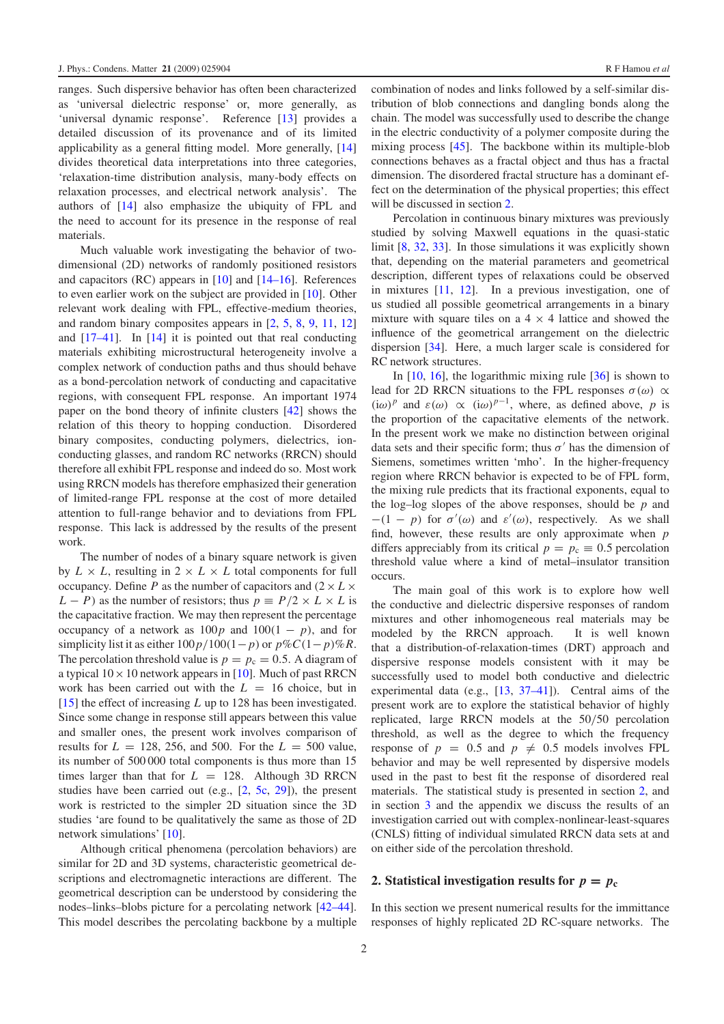ranges. Such dispersive behavior has often been characterized as 'universal dielectric response' or, more generally, as 'universal dynamic response'. Reference [\[13\]](#page-11-5) provides a detailed discussion of its provenance and of its limited applicability as a general fitting model. More generally, [\[14\]](#page-11-6) divides theoretical data interpretations into three categories, 'relaxation-time distribution analysis, many-body effects on relaxation processes, and electrical network analysis'. The authors of [\[14\]](#page-11-6) also emphasize the ubiquity of FPL and the need to account for its presence in the response of real materials.

Much valuable work investigating the behavior of twodimensional (2D) networks of randomly positioned resistors and capacitors (RC) appears in [\[10\]](#page-11-3) and [\[14–16\]](#page-11-6). References to even earlier work on the subject are provided in [\[10\]](#page-11-3). Other relevant work dealing with FPL, effective-medium theories, and random binary composites appears in [\[2,](#page-11-1) [5,](#page-11-7) [8,](#page-11-8) [9,](#page-11-9) [11,](#page-11-10) [12\]](#page-11-4) and  $[17-41]$ . In  $[14]$  it is pointed out that real conducting materials exhibiting microstructural heterogeneity involve a complex network of conduction paths and thus should behave as a bond-percolation network of conducting and capacitative regions, with consequent FPL response. An important 1974 paper on the bond theory of infinite clusters [\[42\]](#page-11-12) shows the relation of this theory to hopping conduction. Disordered binary composites, conducting polymers, dielectrics, ionconducting glasses, and random RC networks (RRCN) should therefore all exhibit FPL response and indeed do so. Most work using RRCN models has therefore emphasized their generation of limited-range FPL response at the cost of more detailed attention to full-range behavior and to deviations from FPL response. This lack is addressed by the results of the present work.

The number of nodes of a binary square network is given by  $L \times L$ , resulting in  $2 \times L \times L$  total components for full occupancy. Define *P* as the number of capacitors and  $(2 \times L \times$  $L - P$ ) as the number of resistors; thus  $p \equiv P/2 \times L \times L$  is the capacitative fraction. We may then represent the percentage occupancy of a network as  $100p$  and  $100(1 - p)$ , and for simplicity list it as either  $100p/100(1-p)$  or  $p\%C(1-p)\%R$ . The percolation threshold value is  $p = p_c = 0.5$ . A diagram of a typical  $10 \times 10$  network appears in [\[10\]](#page-11-3). Much of past RRCN work has been carried out with the  $L = 16$  choice, but in [\[15\]](#page-11-13) the effect of increasing *L* up to 128 has been investigated. Since some change in response still appears between this value and smaller ones, the present work involves comparison of results for  $L = 128, 256,$  and 500. For the  $L = 500$  value, its number of 500 000 total components is thus more than 15 times larger than that for  $L = 128$ . Although 3D RRCN studies have been carried out (e.g., [\[2,](#page-11-1) [5c,](#page-11-14) [29\]](#page-11-15)), the present work is restricted to the simpler 2D situation since the 3D studies 'are found to be qualitatively the same as those of 2D network simulations' [\[10\]](#page-11-3).

Although critical phenomena (percolation behaviors) are similar for 2D and 3D systems, characteristic geometrical descriptions and electromagnetic interactions are different. The geometrical description can be understood by considering the nodes–links–blobs picture for a percolating network [\[42–44\]](#page-11-12). This model describes the percolating backbone by a multiple combination of nodes and links followed by a self-similar distribution of blob connections and dangling bonds along the chain. The model was successfully used to describe the change in the electric conductivity of a polymer composite during the mixing process [\[45\]](#page-11-16). The backbone within its multiple-blob connections behaves as a fractal object and thus has a fractal dimension. The disordered fractal structure has a dominant effect on the determination of the physical properties; this effect will be discussed in section [2.](#page-1-0)

Percolation in continuous binary mixtures was previously studied by solving Maxwell equations in the quasi-static limit [\[8,](#page-11-8) [32,](#page-11-17) [33\]](#page-11-18). In those simulations it was explicitly shown that, depending on the material parameters and geometrical description, different types of relaxations could be observed in mixtures [\[11,](#page-11-10) [12\]](#page-11-4). In a previous investigation, one of us studied all possible geometrical arrangements in a binary mixture with square tiles on a  $4 \times 4$  lattice and showed the influence of the geometrical arrangement on the dielectric dispersion [\[34\]](#page-11-19). Here, a much larger scale is considered for RC network structures.

In  $[10, 16]$  $[10, 16]$  $[10, 16]$ , the logarithmic mixing rule  $[36]$  is shown to lead for 2D RRCN situations to the FPL responses  $\sigma(\omega) \propto$ (iω)<sup>*p*</sup> and  $\varepsilon(\omega) \propto (i\omega)^{p-1}$ , where, as defined above, *p* is the proportion of the capacitative elements of the network. In the present work we make no distinction between original data sets and their specific form; thus  $\sigma'$  has the dimension of Siemens, sometimes written 'mho'. In the higher-frequency region where RRCN behavior is expected to be of FPL form, the mixing rule predicts that its fractional exponents, equal to the log–log slopes of the above responses, should be *p* and  $-(1 - p)$  for  $\sigma'(\omega)$  and  $\varepsilon'(\omega)$ , respectively. As we shall find, however, these results are only approximate when *p* differs appreciably from its critical  $p = p_c \equiv 0.5$  percolation threshold value where a kind of metal–insulator transition occurs.

The main goal of this work is to explore how well the conductive and dielectric dispersive responses of random mixtures and other inhomogeneous real materials may be modeled by the RRCN approach. It is well known that a distribution-of-relaxation-times (DRT) approach and dispersive response models consistent with it may be successfully used to model both conductive and dielectric experimental data (e.g., [\[13,](#page-11-5) [37–41\]](#page-11-22)). Central aims of the present work are to explore the statistical behavior of highly replicated, large RRCN models at the 50/50 percolation threshold, as well as the degree to which the frequency response of  $p = 0.5$  and  $p \neq 0.5$  models involves FPL behavior and may be well represented by dispersive models used in the past to best fit the response of disordered real materials. The statistical study is presented in section [2,](#page-1-0) and in section [3](#page-5-0) and the appendix we discuss the results of an investigation carried out with complex-nonlinear-least-squares (CNLS) fitting of individual simulated RRCN data sets at and on either side of the percolation threshold.

#### <span id="page-1-0"></span>**2. Statistical investigation results for**  $p = p_c$

In this section we present numerical results for the immittance responses of highly replicated 2D RC-square networks. The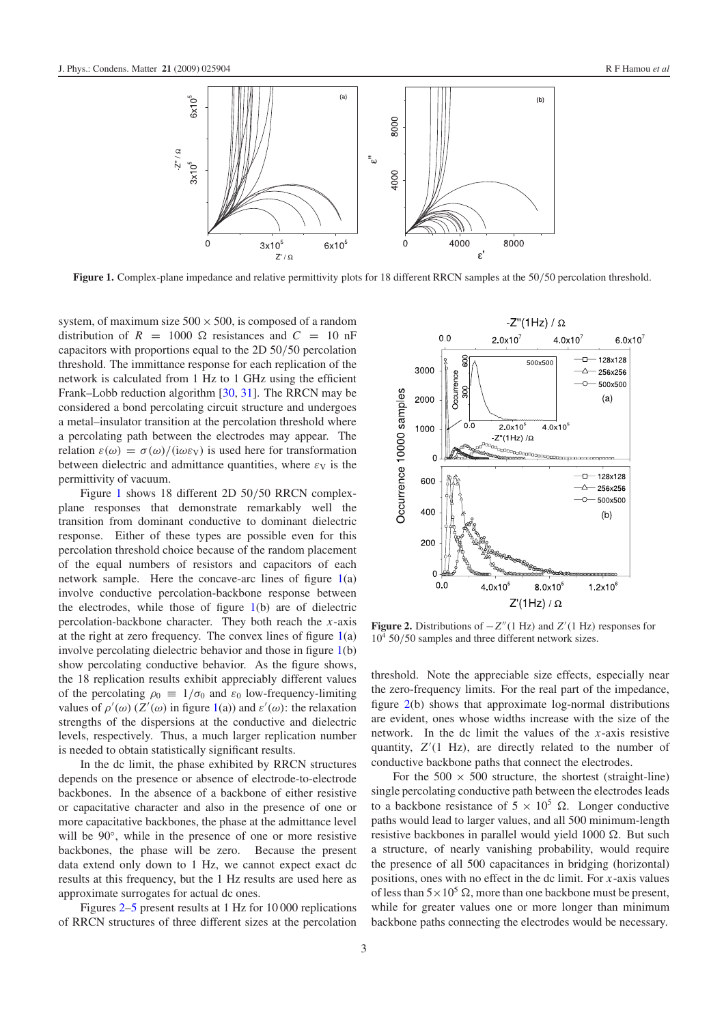<span id="page-2-0"></span>

Figure 1. Complex-plane impedance and relative permittivity plots for 18 different RRCN samples at the 50/50 percolation threshold.

system, of maximum size  $500 \times 500$ , is composed of a random distribution of  $R = 1000 \Omega$  resistances and  $C = 10 \text{ nF}$ capacitors with proportions equal to the 2D 50/50 percolation threshold. The immittance response for each replication of the network is calculated from 1 Hz to 1 GHz using the efficient Frank–Lobb reduction algorithm [\[30,](#page-11-23) [31\]](#page-11-24). The RRCN may be considered a bond percolating circuit structure and undergoes a metal–insulator transition at the percolation threshold where a percolating path between the electrodes may appear. The relation  $\varepsilon(\omega) = \sigma(\omega) / (i\omega \varepsilon_V)$  is used here for transformation between dielectric and admittance quantities, where  $\varepsilon_V$  is the permittivity of vacuum.

Figure [1](#page-2-0) shows 18 different 2D 50/50 RRCN complexplane responses that demonstrate remarkably well the transition from dominant conductive to dominant dielectric response. Either of these types are possible even for this percolation threshold choice because of the random placement of the equal numbers of resistors and capacitors of each network sample. Here the concave-arc lines of figure  $1(a)$  $1(a)$ involve conductive percolation-backbone response between the electrodes, while those of figure [1\(](#page-2-0)b) are of dielectric percolation-backbone character. They both reach the *x*-axis at the right at zero frequency. The convex lines of figure  $1(a)$  $1(a)$ involve percolating dielectric behavior and those in figure [1\(](#page-2-0)b) show percolating conductive behavior. As the figure shows, the 18 replication results exhibit appreciably different values of the percolating  $\rho_0 \equiv 1/\sigma_0$  and  $\varepsilon_0$  low-frequency-limiting values of  $\rho'(\omega)$  ( $Z'(\omega)$  in figure [1\(](#page-2-0)a)) and  $\varepsilon'(\omega)$ : the relaxation strengths of the dispersions at the conductive and dielectric levels, respectively. Thus, a much larger replication number is needed to obtain statistically significant results.

In the dc limit, the phase exhibited by RRCN structures depends on the presence or absence of electrode-to-electrode backbones. In the absence of a backbone of either resistive or capacitative character and also in the presence of one or more capacitative backbones, the phase at the admittance level will be 90◦, while in the presence of one or more resistive backbones, the phase will be zero. Because the present data extend only down to 1 Hz, we cannot expect exact dc results at this frequency, but the 1 Hz results are used here as approximate surrogates for actual dc ones.

Figures [2–](#page-2-1)[5](#page-3-0) present results at 1 Hz for 10 000 replications of RRCN structures of three different sizes at the percolation

<span id="page-2-1"></span>

**Figure 2.** Distributions of −*Z*(1 Hz) and *Z* (1 Hz) responses for  $10^4$  50/50 samples and three different network sizes.

threshold. Note the appreciable size effects, especially near the zero-frequency limits. For the real part of the impedance, figure [2\(](#page-2-1)b) shows that approximate log-normal distributions are evident, ones whose widths increase with the size of the network. In the dc limit the values of the *x*-axis resistive quantity,  $Z'(1 \text{ Hz})$ , are directly related to the number of conductive backbone paths that connect the electrodes.

For the  $500 \times 500$  structure, the shortest (straight-line) single percolating conductive path between the electrodes leads to a backbone resistance of  $5 \times 10^5$   $\Omega$ . Longer conductive paths would lead to larger values, and all 500 minimum-length resistive backbones in parallel would yield  $1000 \Omega$ . But such a structure, of nearly vanishing probability, would require the presence of all 500 capacitances in bridging (horizontal) positions, ones with no effect in the dc limit. For *x*-axis values of less than  $5 \times 10^5$   $\Omega$ , more than one backbone must be present, while for greater values one or more longer than minimum backbone paths connecting the electrodes would be necessary.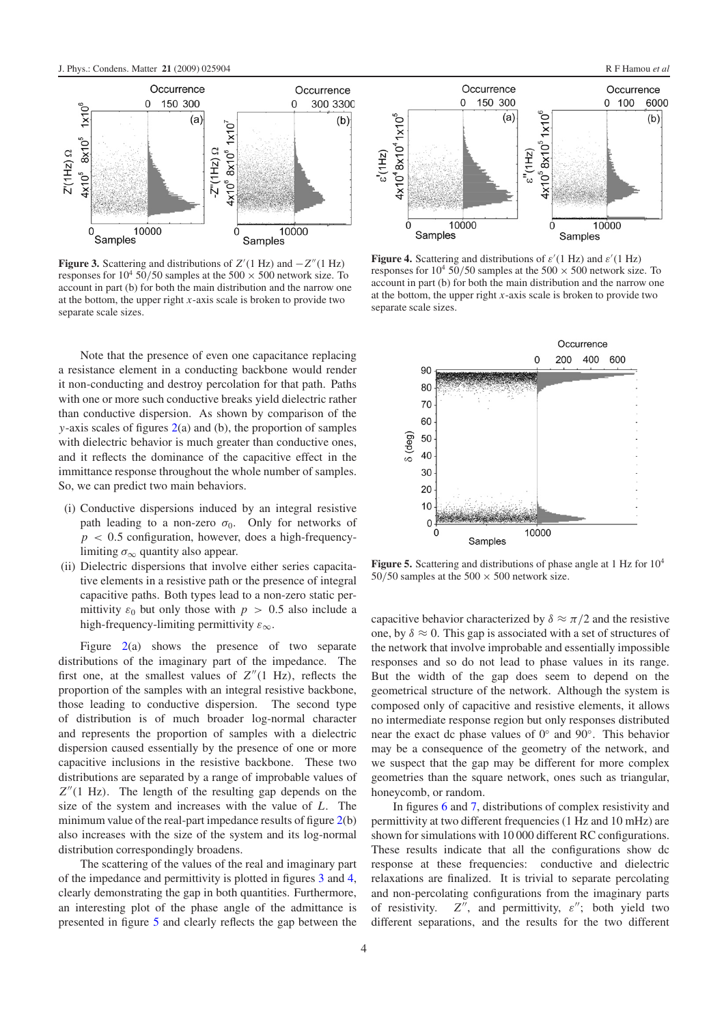<span id="page-3-1"></span>

**Figure 3.** Scattering and distributions of  $Z'(1 Hz)$  and  $-Z''(1 Hz)$ responses for  $10^4$  50/50 samples at the 500  $\times$  500 network size. To account in part (b) for both the main distribution and the narrow one at the bottom, the upper right *x*-axis scale is broken to provide two separate scale sizes.

Note that the presence of even one capacitance replacing a resistance element in a conducting backbone would render it non-conducting and destroy percolation for that path. Paths with one or more such conductive breaks yield dielectric rather than conductive dispersion. As shown by comparison of the *y*-axis scales of figures [2\(](#page-2-1)a) and (b), the proportion of samples with dielectric behavior is much greater than conductive ones, and it reflects the dominance of the capacitive effect in the immittance response throughout the whole number of samples. So, we can predict two main behaviors.

- (i) Conductive dispersions induced by an integral resistive path leading to a non-zero  $\sigma_0$ . Only for networks of  $p < 0.5$  configuration, however, does a high-frequencylimiting  $\sigma_{\infty}$  quantity also appear.
- (ii) Dielectric dispersions that involve either series capacitative elements in a resistive path or the presence of integral capacitive paths. Both types lead to a non-zero static permittivity  $\varepsilon_0$  but only those with  $p > 0.5$  also include a high-frequency-limiting permittivity  $\varepsilon_{\infty}$ .

Figure [2\(](#page-2-1)a) shows the presence of two separate distributions of the imaginary part of the impedance. The first one, at the smallest values of  $Z''(1 \text{ Hz})$ , reflects the proportion of the samples with an integral resistive backbone, those leading to conductive dispersion. The second type of distribution is of much broader log-normal character and represents the proportion of samples with a dielectric dispersion caused essentially by the presence of one or more capacitive inclusions in the resistive backbone. These two distributions are separated by a range of improbable values of  $Z''(1 \text{ Hz})$ . The length of the resulting gap depends on the size of the system and increases with the value of *L*. The minimum value of the real-part impedance results of figure  $2(b)$  $2(b)$ also increases with the size of the system and its log-normal distribution correspondingly broadens.

The scattering of the values of the real and imaginary part of the impedance and permittivity is plotted in figures [3](#page-3-1) and [4,](#page-3-2) clearly demonstrating the gap in both quantities. Furthermore, an interesting plot of the phase angle of the admittance is presented in figure [5](#page-3-0) and clearly reflects the gap between the

<span id="page-3-2"></span>

<span id="page-3-0"></span>**Figure 4.** Scattering and distributions of  $\varepsilon'(1 \text{ Hz})$  and  $\varepsilon'(1 \text{ Hz})$ responses for  $10^4$  50/50 samples at the 500  $\times$  500 network size. To account in part (b) for both the main distribution and the narrow one at the bottom, the upper right *x*-axis scale is broken to provide two separate scale sizes.



Figure 5. Scattering and distributions of phase angle at 1 Hz for  $10^4$ 50/50 samples at the 500  $\times$  500 network size.

capacitive behavior characterized by  $\delta \approx \pi/2$  and the resistive one, by  $\delta \approx 0$ . This gap is associated with a set of structures of the network that involve improbable and essentially impossible responses and so do not lead to phase values in its range. But the width of the gap does seem to depend on the geometrical structure of the network. Although the system is composed only of capacitive and resistive elements, it allows no intermediate response region but only responses distributed near the exact dc phase values of 0◦ and 90◦. This behavior may be a consequence of the geometry of the network, and we suspect that the gap may be different for more complex geometries than the square network, ones such as triangular, honeycomb, or random.

In figures [6](#page-4-0) and [7,](#page-4-1) distributions of complex resistivity and permittivity at two different frequencies (1 Hz and 10 mHz) are shown for simulations with 10 000 different RC configurations. These results indicate that all the configurations show dc response at these frequencies: conductive and dielectric relaxations are finalized. It is trivial to separate percolating and non-percolating configurations from the imaginary parts of resistivity.  $Z''$ , and permittivity,  $\varepsilon''$ ; both yield two different separations, and the results for the two different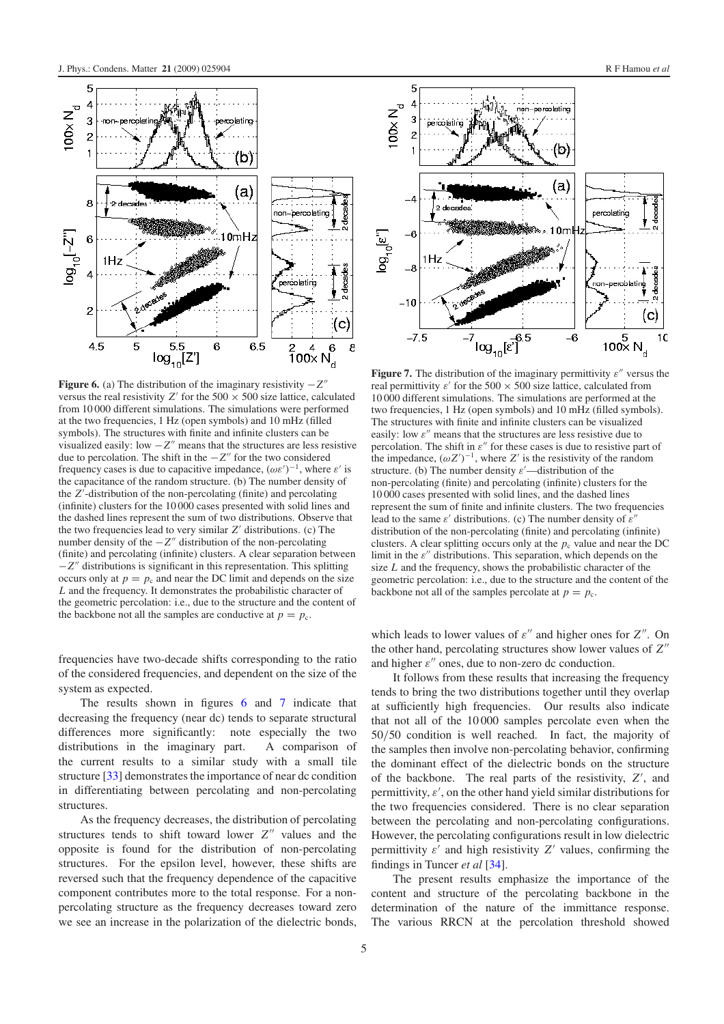<span id="page-4-0"></span>

**Figure 6.** (a) The distribution of the imaginary resistivity −*Z* versus the real resistivity *Z'* for the  $500 \times 500$  size lattice, calculated from 10 000 different simulations. The simulations were performed at the two frequencies, 1 Hz (open symbols) and 10 mHz (filled symbols). The structures with finite and infinite clusters can be visualized easily: low  $-Z$ <sup>*m*</sup> means that the structures are less resistive due to percolation. The shift in the  $-Z''$  for the two considered frequency cases is due to capacitive impedance,  $(\omega \varepsilon')^{-1}$ , where  $\varepsilon'$  is the capacitance of the random structure. (b) The number density of the *Z* -distribution of the non-percolating (finite) and percolating (infinite) clusters for the 10 000 cases presented with solid lines and the dashed lines represent the sum of two distributions. Observe that the two frequencies lead to very similar *Z'* distributions. (c) The number density of the  $-Z''$  distribution of the non-percolating (finite) and percolating (infinite) clusters. A clear separation between  $-Z$ <sup>*n*</sup> distributions is significant in this representation. This splitting occurs only at  $p = p_c$  and near the DC limit and depends on the size *L* and the frequency. It demonstrates the probabilistic character of the geometric percolation: i.e., due to the structure and the content of the backbone not all the samples are conductive at  $p = p_c$ .

frequencies have two-decade shifts corresponding to the ratio of the considered frequencies, and dependent on the size of the system as expected.

The results shown in figures [6](#page-4-0) and [7](#page-4-1) indicate that decreasing the frequency (near dc) tends to separate structural differences more significantly: note especially the two distributions in the imaginary part. A comparison of the current results to a similar study with a small tile structure [\[33\]](#page-11-18) demonstrates the importance of near dc condition in differentiating between percolating and non-percolating structures.

As the frequency decreases, the distribution of percolating structures tends to shift toward lower *Z*<sup>"</sup> values and the opposite is found for the distribution of non-percolating structures. For the epsilon level, however, these shifts are reversed such that the frequency dependence of the capacitive component contributes more to the total response. For a nonpercolating structure as the frequency decreases toward zero we see an increase in the polarization of the dielectric bonds,

<span id="page-4-1"></span>

**Figure 7.** The distribution of the imaginary permittivity  $\varepsilon$ <sup>*''*</sup> versus the real permittivity  $\varepsilon'$  for the 500  $\times$  500 size lattice, calculated from 10 000 different simulations. The simulations are performed at the two frequencies, 1 Hz (open symbols) and 10 mHz (filled symbols). The structures with finite and infinite clusters can be visualized easily: low  $\varepsilon''$  means that the structures are less resistive due to percolation. The shift in  $\varepsilon''$  for these cases is due to resistive part of the impedance,  $(\omega Z')^{-1}$ , where  $Z'$  is the resistivity of the random structure. (b) The number density  $\varepsilon'$ —distribution of the non-percolating (finite) and percolating (infinite) clusters for the 10 000 cases presented with solid lines, and the dashed lines represent the sum of finite and infinite clusters. The two frequencies lead to the same  $\varepsilon'$  distributions. (c) The number density of  $\varepsilon''$ distribution of the non-percolating (finite) and percolating (infinite) clusters. A clear splitting occurs only at the  $p_c$  value and near the DC limit in the  $\varepsilon''$  distributions. This separation, which depends on the size *L* and the frequency, shows the probabilistic character of the geometric percolation: i.e., due to the structure and the content of the backbone not all of the samples percolate at  $p = p_c$ .

which leads to lower values of  $\varepsilon''$  and higher ones for  $Z''$ . On the other hand, percolating structures show lower values of *Z* and higher  $\varepsilon''$  ones, due to non-zero dc conduction.

It follows from these results that increasing the frequency tends to bring the two distributions together until they overlap at sufficiently high frequencies. Our results also indicate that not all of the 10 000 samples percolate even when the 50/50 condition is well reached. In fact, the majority of the samples then involve non-percolating behavior, confirming the dominant effect of the dielectric bonds on the structure of the backbone. The real parts of the resistivity, *Z* , and permittivity,  $\varepsilon'$ , on the other hand yield similar distributions for the two frequencies considered. There is no clear separation between the percolating and non-percolating configurations. However, the percolating configurations result in low dielectric permittivity  $\varepsilon'$  and high resistivity  $Z'$  values, confirming the findings in Tuncer *et al* [\[34\]](#page-11-19).

The present results emphasize the importance of the content and structure of the percolating backbone in the determination of the nature of the immittance response. The various RRCN at the percolation threshold showed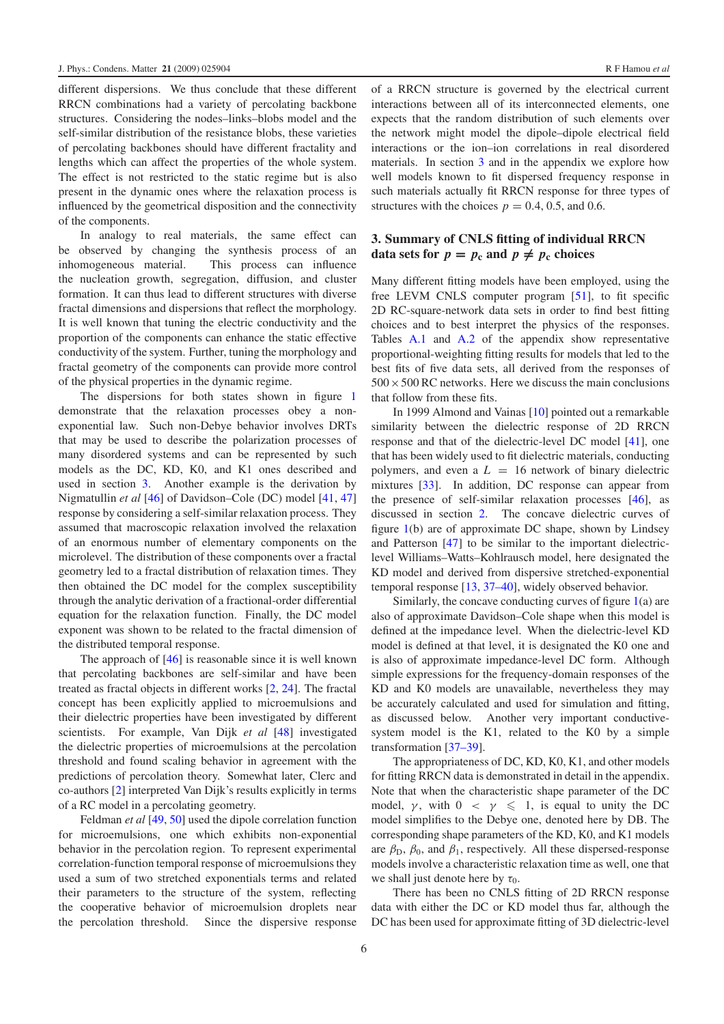different dispersions. We thus conclude that these different RRCN combinations had a variety of percolating backbone structures. Considering the nodes–links–blobs model and the self-similar distribution of the resistance blobs, these varieties of percolating backbones should have different fractality and lengths which can affect the properties of the whole system. The effect is not restricted to the static regime but is also present in the dynamic ones where the relaxation process is influenced by the geometrical disposition and the connectivity of the components.

In analogy to real materials, the same effect can be observed by changing the synthesis process of an inhomogeneous material. This process can influence the nucleation growth, segregation, diffusion, and cluster formation. It can thus lead to different structures with diverse fractal dimensions and dispersions that reflect the morphology. It is well known that tuning the electric conductivity and the proportion of the components can enhance the static effective conductivity of the system. Further, tuning the morphology and fractal geometry of the components can provide more control of the physical properties in the dynamic regime.

The dispersions for both states shown in figure [1](#page-2-0) demonstrate that the relaxation processes obey a nonexponential law. Such non-Debye behavior involves DRTs that may be used to describe the polarization processes of many disordered systems and can be represented by such models as the DC, KD, K0, and K1 ones described and used in section [3.](#page-5-0) Another example is the derivation by Nigmatullin *et al* [\[46\]](#page-11-25) of Davidson–Cole (DC) model [\[41,](#page-11-12) [47\]](#page-11-26) response by considering a self-similar relaxation process. They assumed that macroscopic relaxation involved the relaxation of an enormous number of elementary components on the microlevel. The distribution of these components over a fractal geometry led to a fractal distribution of relaxation times. They then obtained the DC model for the complex susceptibility through the analytic derivation of a fractional-order differential equation for the relaxation function. Finally, the DC model exponent was shown to be related to the fractal dimension of the distributed temporal response.

The approach of [\[46\]](#page-11-25) is reasonable since it is well known that percolating backbones are self-similar and have been treated as fractal objects in different works [\[2,](#page-11-1) [24\]](#page-11-27). The fractal concept has been explicitly applied to microemulsions and their dielectric properties have been investigated by different scientists. For example, Van Dijk *et al* [\[48\]](#page-11-28) investigated the dielectric properties of microemulsions at the percolation threshold and found scaling behavior in agreement with the predictions of percolation theory. Somewhat later, Clerc and co-authors [\[2\]](#page-11-1) interpreted Van Dijk's results explicitly in terms of a RC model in a percolating geometry.

Feldman *et al* [\[49,](#page-11-29) [50\]](#page-12-0) used the dipole correlation function for microemulsions, one which exhibits non-exponential behavior in the percolation region. To represent experimental correlation-function temporal response of microemulsions they used a sum of two stretched exponentials terms and related their parameters to the structure of the system, reflecting the cooperative behavior of microemulsion droplets near the percolation threshold. Since the dispersive response <span id="page-5-0"></span>of a RRCN structure is governed by the electrical current interactions between all of its interconnected elements, one expects that the random distribution of such elements over the network might model the dipole–dipole electrical field interactions or the ion–ion correlations in real disordered materials. In section [3](#page-5-0) and in the appendix we explore how well models known to fit dispersed frequency response in such materials actually fit RRCN response for three types of structures with the choices  $p = 0.4, 0.5,$  and 0.6.

# **3. Summary of CNLS fitting of individual RRCN data sets for**  $p = p_c$  **and**  $p \neq p_c$  **choices**

Many different fitting models have been employed, using the free LEVM CNLS computer program [\[51\]](#page-12-1), to fit specific 2D RC-square-network data sets in order to find best fitting choices and to best interpret the physics of the responses. Tables [A.1](#page-8-0) and [A.2](#page-8-1) of the appendix show representative proportional-weighting fitting results for models that led to the best fits of five data sets, all derived from the responses of  $500 \times 500$  RC networks. Here we discuss the main conclusions that follow from these fits.

In 1999 Almond and Vainas [\[10\]](#page-11-3) pointed out a remarkable similarity between the dielectric response of 2D RRCN response and that of the dielectric-level DC model [\[41\]](#page-11-12), one that has been widely used to fit dielectric materials, conducting polymers, and even a  $L = 16$  network of binary dielectric mixtures [\[33\]](#page-11-18). In addition, DC response can appear from the presence of self-similar relaxation processes [\[46\]](#page-11-25), as discussed in section [2.](#page-1-0) The concave dielectric curves of figure [1\(](#page-2-0)b) are of approximate DC shape, shown by Lindsey and Patterson [\[47\]](#page-11-26) to be similar to the important dielectriclevel Williams–Watts–Kohlrausch model, here designated the KD model and derived from dispersive stretched-exponential temporal response [\[13,](#page-11-5) [37–40\]](#page-11-22), widely observed behavior.

Similarly, the concave conducting curves of figure  $1(a)$  $1(a)$  are also of approximate Davidson–Cole shape when this model is defined at the impedance level. When the dielectric-level KD model is defined at that level, it is designated the K0 one and is also of approximate impedance-level DC form. Although simple expressions for the frequency-domain responses of the KD and K0 models are unavailable, nevertheless they may be accurately calculated and used for simulation and fitting, as discussed below. Another very important conductivesystem model is the K1, related to the K0 by a simple transformation [\[37–39\]](#page-11-22).

The appropriateness of DC, KD, K0, K1, and other models for fitting RRCN data is demonstrated in detail in the appendix. Note that when the characteristic shape parameter of the DC model,  $\gamma$ , with  $0 \leq \gamma \leq 1$ , is equal to unity the DC model simplifies to the Debye one, denoted here by DB. The corresponding shape parameters of the KD, K0, and K1 models are  $\beta_{\rm D}, \beta_0$ , and  $\beta_1$ , respectively. All these dispersed-response models involve a characteristic relaxation time as well, one that we shall just denote here by  $\tau_0$ .

There has been no CNLS fitting of 2D RRCN response data with either the DC or KD model thus far, although the DC has been used for approximate fitting of 3D dielectric-level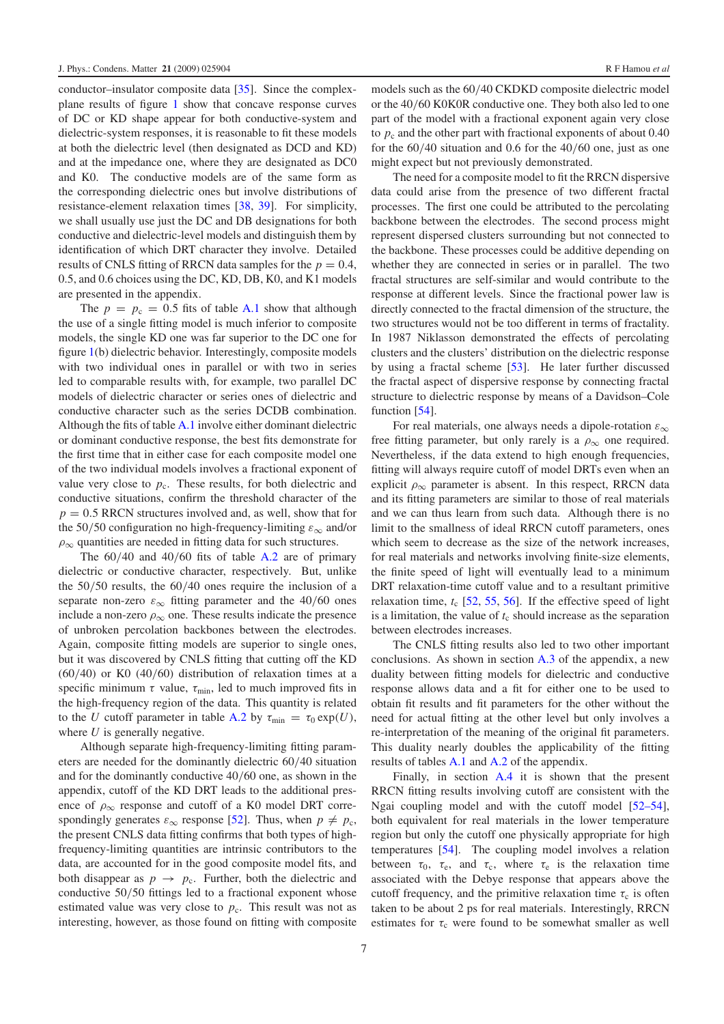conductor–insulator composite data [\[35\]](#page-11-30). Since the complexplane results of figure [1](#page-2-0) show that concave response curves of DC or KD shape appear for both conductive-system and dielectric-system responses, it is reasonable to fit these models at both the dielectric level (then designated as DCD and KD) and at the impedance one, where they are designated as DC0 and K0. The conductive models are of the same form as the corresponding dielectric ones but involve distributions of resistance-element relaxation times [\[38,](#page-11-31) [39\]](#page-11-32). For simplicity, we shall usually use just the DC and DB designations for both conductive and dielectric-level models and distinguish them by identification of which DRT character they involve. Detailed results of CNLS fitting of RRCN data samples for the  $p = 0.4$ , 0.5, and 0.6 choices using the DC, KD, DB, K0, and K1 models are presented in the appendix.

The  $p = p_c = 0.5$  fits of table [A.1](#page-8-0) show that although the use of a single fitting model is much inferior to composite models, the single KD one was far superior to the DC one for figure [1\(](#page-2-0)b) dielectric behavior. Interestingly, composite models with two individual ones in parallel or with two in series led to comparable results with, for example, two parallel DC models of dielectric character or series ones of dielectric and conductive character such as the series DCDB combination. Although the fits of table [A.1](#page-8-0) involve either dominant dielectric or dominant conductive response, the best fits demonstrate for the first time that in either case for each composite model one of the two individual models involves a fractional exponent of value very close to  $p_c$ . These results, for both dielectric and conductive situations, confirm the threshold character of the  $p = 0.5$  RRCN structures involved and, as well, show that for the 50/50 configuration no high-frequency-limiting  $\varepsilon_{\infty}$  and/or  $\rho_{\infty}$  quantities are needed in fitting data for such structures.

The  $60/40$  and  $40/60$  fits of table [A.2](#page-8-1) are of primary dielectric or conductive character, respectively. But, unlike the 50/50 results, the 60/40 ones require the inclusion of a separate non-zero  $\varepsilon_{\infty}$  fitting parameter and the 40/60 ones include a non-zero  $\rho_{\infty}$  one. These results indicate the presence of unbroken percolation backbones between the electrodes. Again, composite fitting models are superior to single ones, but it was discovered by CNLS fitting that cutting off the KD (60/40) or K0 (40/60) distribution of relaxation times at a specific minimum  $\tau$  value,  $\tau_{\min}$ , led to much improved fits in the high-frequency region of the data. This quantity is related to the *U* cutoff parameter in table [A.2](#page-8-1) by  $\tau_{\min} = \tau_0 \exp(U)$ , where *U* is generally negative.

Although separate high-frequency-limiting fitting parameters are needed for the dominantly dielectric 60/40 situation and for the dominantly conductive 40/60 one, as shown in the appendix, cutoff of the KD DRT leads to the additional presence of  $\rho_{\infty}$  response and cutoff of a K0 model DRT correspondingly generates  $\varepsilon_{\infty}$  response [\[52\]](#page-12-2). Thus, when  $p \neq p_c$ , the present CNLS data fitting confirms that both types of highfrequency-limiting quantities are intrinsic contributors to the data, are accounted for in the good composite model fits, and both disappear as  $p \rightarrow p_c$ . Further, both the dielectric and conductive 50/50 fittings led to a fractional exponent whose estimated value was very close to  $p_c$ . This result was not as interesting, however, as those found on fitting with composite

or the 40/60 K0K0R conductive one. They both also led to one part of the model with a fractional exponent again very close to  $p_c$  and the other part with fractional exponents of about  $0.40$ for the 60/40 situation and 0.6 for the 40/60 one, just as one might expect but not previously demonstrated.

The need for a composite model to fit the RRCN dispersive data could arise from the presence of two different fractal processes. The first one could be attributed to the percolating backbone between the electrodes. The second process might represent dispersed clusters surrounding but not connected to the backbone. These processes could be additive depending on whether they are connected in series or in parallel. The two fractal structures are self-similar and would contribute to the response at different levels. Since the fractional power law is directly connected to the fractal dimension of the structure, the two structures would not be too different in terms of fractality. In 1987 Niklasson demonstrated the effects of percolating clusters and the clusters' distribution on the dielectric response by using a fractal scheme [\[53\]](#page-12-3). He later further discussed the fractal aspect of dispersive response by connecting fractal structure to dielectric response by means of a Davidson–Cole function [\[54\]](#page-12-4).

For real materials, one always needs a dipole-rotation  $\varepsilon_{\infty}$ free fitting parameter, but only rarely is a  $\rho_{\infty}$  one required. Nevertheless, if the data extend to high enough frequencies, fitting will always require cutoff of model DRTs even when an explicit  $\rho_{\infty}$  parameter is absent. In this respect, RRCN data and its fitting parameters are similar to those of real materials and we can thus learn from such data. Although there is no limit to the smallness of ideal RRCN cutoff parameters, ones which seem to decrease as the size of the network increases. for real materials and networks involving finite-size elements, the finite speed of light will eventually lead to a minimum DRT relaxation-time cutoff value and to a resultant primitive relaxation time,  $t_c$  [\[52,](#page-12-2) [55,](#page-12-5) [56\]](#page-12-6). If the effective speed of light is a limitation, the value of  $t_c$  should increase as the separation between electrodes increases.

The CNLS fitting results also led to two other important conclusions. As shown in section [A.3](#page-10-0) of the appendix, a new duality between fitting models for dielectric and conductive response allows data and a fit for either one to be used to obtain fit results and fit parameters for the other without the need for actual fitting at the other level but only involves a re-interpretation of the meaning of the original fit parameters. This duality nearly doubles the applicability of the fitting results of tables [A.1](#page-8-0) and [A.2](#page-8-1) of the appendix.

Finally, in section [A.4](#page-10-1) it is shown that the present RRCN fitting results involving cutoff are consistent with the Ngai coupling model and with the cutoff model [\[52–54\]](#page-12-2), both equivalent for real materials in the lower temperature region but only the cutoff one physically appropriate for high temperatures [\[54\]](#page-12-4). The coupling model involves a relation between  $\tau_0$ ,  $\tau_e$ , and  $\tau_c$ , where  $\tau_e$  is the relaxation time associated with the Debye response that appears above the cutoff frequency, and the primitive relaxation time  $\tau_c$  is often taken to be about 2 ps for real materials. Interestingly, RRCN estimates for  $\tau_c$  were found to be somewhat smaller as well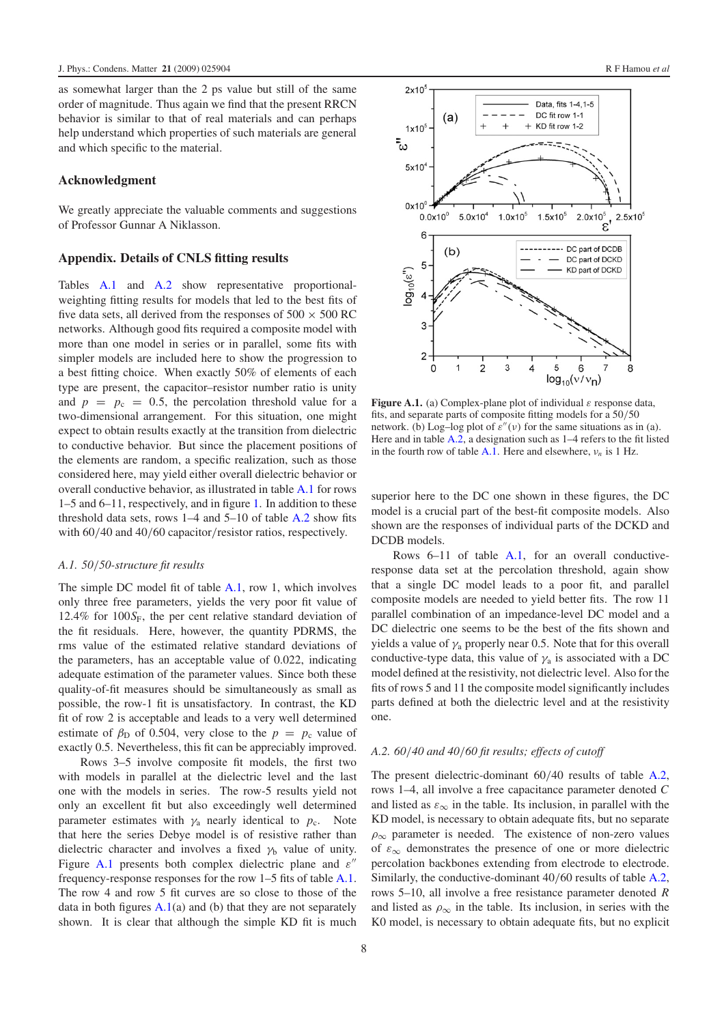as somewhat larger than the 2 ps value but still of the same order of magnitude. Thus again we find that the present RRCN behavior is similar to that of real materials and can perhaps help understand which properties of such materials are general and which specific to the material.

## **Acknowledgment**

We greatly appreciate the valuable comments and suggestions of Professor Gunnar A Niklasson.

## **Appendix. Details of CNLS fitting results**

Tables [A.1](#page-8-0) and [A.2](#page-8-1) show representative proportionalweighting fitting results for models that led to the best fits of five data sets, all derived from the responses of  $500 \times 500$  RC networks. Although good fits required a composite model with more than one model in series or in parallel, some fits with simpler models are included here to show the progression to a best fitting choice. When exactly 50% of elements of each type are present, the capacitor–resistor number ratio is unity and  $p = p_c = 0.5$ , the percolation threshold value for a two-dimensional arrangement. For this situation, one might expect to obtain results exactly at the transition from dielectric to conductive behavior. But since the placement positions of the elements are random, a specific realization, such as those considered here, may yield either overall dielectric behavior or overall conductive behavior, as illustrated in table [A.1](#page-8-0) for rows 1–5 and 6–11, respectively, and in figure [1.](#page-2-0) In addition to these threshold data sets, rows 1–4 and 5–10 of table [A.2](#page-8-1) show fits with  $60/40$  and  $40/60$  capacitor/resistor ratios, respectively.

#### *A.1. 50*/*50-structure fit results*

The simple DC model fit of table [A.1,](#page-8-0) row 1, which involves only three free parameters, yields the very poor fit value of 12.4% for  $100S_F$ , the per cent relative standard deviation of the fit residuals. Here, however, the quantity PDRMS, the rms value of the estimated relative standard deviations of the parameters, has an acceptable value of 0.022, indicating adequate estimation of the parameter values. Since both these quality-of-fit measures should be simultaneously as small as possible, the row-1 fit is unsatisfactory. In contrast, the KD fit of row 2 is acceptable and leads to a very well determined estimate of  $\beta_{\text{D}}$  of 0.504, very close to the  $p = p_c$  value of exactly 0.5. Nevertheless, this fit can be appreciably improved.

Rows 3–5 involve composite fit models, the first two with models in parallel at the dielectric level and the last one with the models in series. The row-5 results yield not only an excellent fit but also exceedingly well determined parameter estimates with  $\gamma_a$  nearly identical to  $p_c$ . Note that here the series Debye model is of resistive rather than dielectric character and involves a fixed  $\gamma_b$  value of unity. Figure [A.1](#page-7-0) presents both complex dielectric plane and  $\varepsilon$ " frequency-response responses for the row 1–5 fits of table [A.1.](#page-8-0) The row 4 and row 5 fit curves are so close to those of the data in both figures  $A.1(a)$  $A.1(a)$  and (b) that they are not separately shown. It is clear that although the simple KD fit is much

<span id="page-7-0"></span>

**Figure A.1.** (a) Complex-plane plot of individual  $\varepsilon$  response data, fits, and separate parts of composite fitting models for a 50/50 network. (b) Log–log plot of  $\varepsilon''(v)$  for the same situations as in (a). Here and in table [A.2,](#page-8-1) a designation such as 1–4 refers to the fit listed in the fourth row of table [A.1.](#page-8-0) Here and elsewhere,  $v_n$  is 1 Hz.

superior here to the DC one shown in these figures, the DC model is a crucial part of the best-fit composite models. Also shown are the responses of individual parts of the DCKD and DCDB models.

Rows 6–11 of table [A.1,](#page-8-0) for an overall conductiveresponse data set at the percolation threshold, again show that a single DC model leads to a poor fit, and parallel composite models are needed to yield better fits. The row 11 parallel combination of an impedance-level DC model and a DC dielectric one seems to be the best of the fits shown and yields a value of  $\gamma_a$  properly near 0.5. Note that for this overall conductive-type data, this value of  $\gamma_a$  is associated with a DC model defined at the resistivity, not dielectric level. Also for the fits of rows 5 and 11 the composite model significantly includes parts defined at both the dielectric level and at the resistivity one.

# *A.2. 60*/*40 and 40*/*60 fit results; effects of cutoff*

The present dielectric-dominant 60/40 results of table [A.2,](#page-8-1) rows 1–4, all involve a free capacitance parameter denoted *C* and listed as  $\varepsilon_{\infty}$  in the table. Its inclusion, in parallel with the KD model, is necessary to obtain adequate fits, but no separate  $\rho_{\infty}$  parameter is needed. The existence of non-zero values of  $\varepsilon_{\infty}$  demonstrates the presence of one or more dielectric percolation backbones extending from electrode to electrode. Similarly, the conductive-dominant 40/60 results of table [A.2,](#page-8-1) rows 5–10, all involve a free resistance parameter denoted *R* and listed as  $\rho_{\infty}$  in the table. Its inclusion, in series with the K0 model, is necessary to obtain adequate fits, but no explicit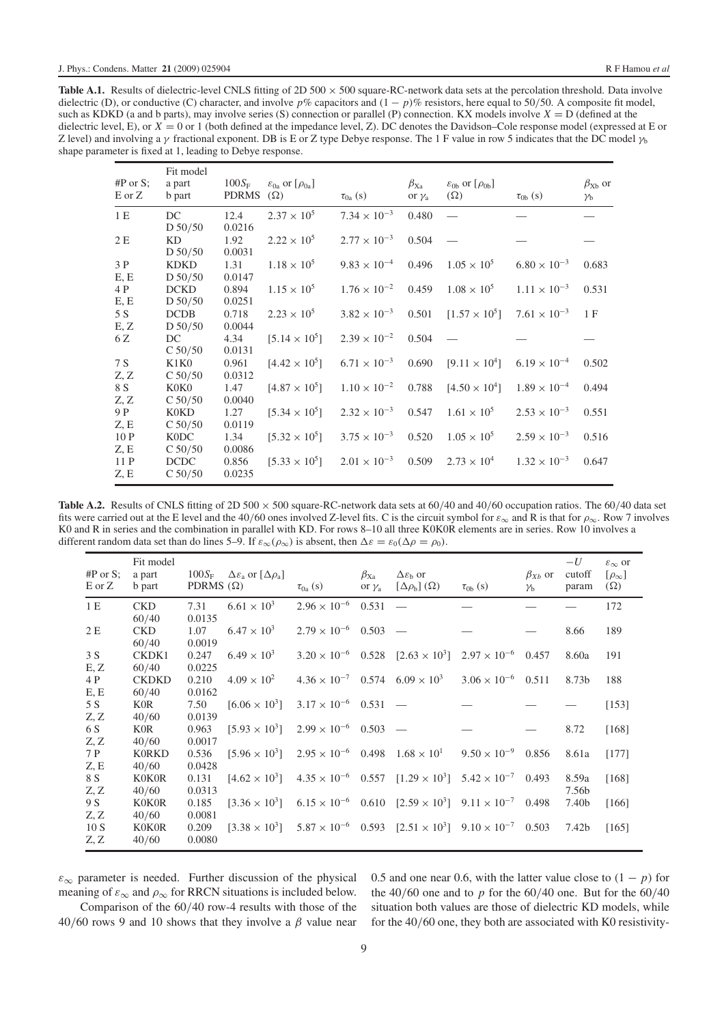<span id="page-8-0"></span>Table A.1. Results of dielectric-level CNLS fitting of 2D 500 × 500 square-RC-network data sets at the percolation threshold. Data involve dielectric (D), or conductive (C) character, and involve *p*% capacitors and (1 − *p*)% resistors, here equal to 50/50. A composite fit model, such as KDKD (a and b parts), may involve series (S) connection or parallel (P) connection. KX models involve *X* = D (defined at the dielectric level, E), or  $\overline{X} = 0$  or 1 (both defined at the impedance level, Z). DC denotes the Davidson–Cole response model (expressed at E or Z level) and involving a  $\gamma$  fractional exponent. DB is E or Z type Debye response. The 1 F value in row 5 indicates that the DC model  $\gamma_b$ shape parameter is fixed at 1, leading to Debye response.

| $\#P$ or $S$ :<br>E or Z | Fit model<br>a part<br>b part | $100S_F$<br><b>PDRMS</b> | $\varepsilon_{0a}$ or $[\rho_{0a}]$<br>$(\Omega)$ | $\tau_{0a}$ (s)       | $\beta_{\text{Xa}}$<br>or $\gamma_a$ | $\varepsilon_{0b}$ or $[\rho_{0b}]$<br>$(\Omega)$ | $\tau_{0b}$ (s)       | $\beta_{Xb}$ or<br>$\gamma_{\rm b}$ |
|--------------------------|-------------------------------|--------------------------|---------------------------------------------------|-----------------------|--------------------------------------|---------------------------------------------------|-----------------------|-------------------------------------|
| 1 E                      | DC                            | 12.4                     | $2.37 \times 10^{5}$                              | $7.34 \times 10^{-3}$ | 0.480                                |                                                   |                       |                                     |
|                          | D 50/50                       | 0.0216                   |                                                   |                       |                                      |                                                   |                       |                                     |
| 2 E                      | KD.                           | 1.92                     | $2.22 \times 10^5$                                | $2.77 \times 10^{-3}$ | 0.504                                |                                                   |                       |                                     |
|                          | D 50/50                       | 0.0031                   |                                                   |                       |                                      |                                                   |                       |                                     |
| 3P                       | <b>KDKD</b>                   | 1.31                     | $1.18 \times 10^{5}$                              | $9.83 \times 10^{-4}$ | 0.496                                | $1.05 \times 10^{5}$                              | $6.80 \times 10^{-3}$ | 0.683                               |
| E, E                     | D 50/50                       | 0.0147                   |                                                   |                       |                                      |                                                   |                       |                                     |
| 4 P                      | <b>DCKD</b>                   | 0.894                    | $1.15 \times 10^{5}$                              | $1.76 \times 10^{-2}$ | 0.459                                | $1.08 \times 10^{5}$                              | $1.11 \times 10^{-3}$ | 0.531                               |
| E, E                     | D 50/50                       | 0.0251                   |                                                   |                       |                                      |                                                   |                       |                                     |
| 5 S                      | <b>DCDB</b>                   | 0.718                    | $2.23 \times 10^{5}$                              | $3.82 \times 10^{-3}$ | 0.501                                | $[1.57 \times 10^5]$                              | $7.61 \times 10^{-3}$ | 1F                                  |
| E, Z                     | D 50/50                       | 0.0044                   |                                                   |                       |                                      |                                                   |                       |                                     |
| 6 Z                      | DC                            | 4.34                     | $[5.14 \times 10^5]$                              | $2.39 \times 10^{-2}$ | 0.504                                |                                                   |                       |                                     |
|                          | C 50/50                       | 0.0131                   |                                                   |                       |                                      |                                                   |                       |                                     |
| 7 S                      | K1K0                          | 0.961                    | $[4.42 \times 10^5]$                              | $6.71 \times 10^{-3}$ | 0.690                                | $[9.11 \times 10^4]$                              | $6.19 \times 10^{-4}$ | 0.502                               |
| Z, Z                     | C 50/50                       | 0.0312                   |                                                   |                       |                                      |                                                   |                       |                                     |
| 8 S                      | K0K0                          | 1.47                     | $[4.87 \times 10^5]$                              | $1.10 \times 10^{-2}$ | 0.788                                | $[4.50 \times 10^4]$                              | $1.89 \times 10^{-4}$ | 0.494                               |
| Z, Z                     | C 50/50                       | 0.0040                   |                                                   |                       |                                      |                                                   |                       |                                     |
| 9 P                      | K0KD                          | 1.27                     | $[5.34 \times 10^5]$                              | $2.32 \times 10^{-3}$ | 0.547                                | $1.61 \times 10^{5}$                              | $2.53 \times 10^{-3}$ | 0.551                               |
| Z, E                     | C 50/50                       | 0.0119                   |                                                   |                       |                                      |                                                   |                       |                                     |
| 10P                      | K <sub>0</sub> DC             | 1.34                     | $[5.32 \times 10^5]$                              | $3.75 \times 10^{-3}$ | 0.520                                | $1.05 \times 10^{5}$                              | $2.59 \times 10^{-3}$ | 0.516                               |
| Z, E                     | C 50/50                       | 0.0086                   |                                                   |                       |                                      |                                                   |                       |                                     |
| 11 P                     | <b>DCDC</b>                   | 0.856                    | $[5.33 \times 10^5]$                              | $2.01 \times 10^{-3}$ | 0.509                                | $2.73 \times 10^{4}$                              | $1.32 \times 10^{-3}$ | 0.647                               |
| Z, E                     | C 50/50                       | 0.0235                   |                                                   |                       |                                      |                                                   |                       |                                     |

<span id="page-8-1"></span>**Table A.2.** Results of CNLS fitting of  $2D\,500 \times 500$  square-RC-network data sets at  $60/40$  and  $40/60$  occupation ratios. The  $60/40$  data set fits were carried out at the E level and the 40/60 ones involved Z-level fits. C is the circuit symbol for  $\varepsilon_{\infty}$  and R is that for  $\rho_{\infty}$ . Row 7 involves K0 and R in series and the combination in parallel with KD. For rows 8–10 all three K0K0R elements are in series. Row 10 involves a different random data set than do lines 5–9. If  $\varepsilon_{\infty}(\rho_{\infty})$  is absent, then  $\Delta \varepsilon = \varepsilon_0 (\Delta \rho = \rho_0)$ .

| $#P$ or S;<br>E or Z | Fit model<br>a part<br>b part | $100S_F$<br>PDRMS $(\Omega)$ | $\Delta \varepsilon_a$ or $[\Delta \rho_a]$ | $\tau_{0a}$ (s)                                  | $\beta_{\text{Xa}}$<br>or $\gamma_a$ | $\Delta \varepsilon_{\rm b}$ or<br>$[\Delta \rho_{\rm b}](\Omega)$                                    | $\tau_{0b}$ (s)             | $\beta_{Xb}$ or<br>$\gamma_{\rm b}$ | $-U$<br>cutoff<br>param | $\varepsilon_{\infty}$ or<br>$[\rho_{\infty}]$<br>$(\Omega)$ |
|----------------------|-------------------------------|------------------------------|---------------------------------------------|--------------------------------------------------|--------------------------------------|-------------------------------------------------------------------------------------------------------|-----------------------------|-------------------------------------|-------------------------|--------------------------------------------------------------|
| 1E                   | <b>CKD</b><br>60/40           | 7.31<br>0.0135               | $6.61 \times 10^{3}$                        | $2.96 \times 10^{-6}$ 0.531 -                    |                                      |                                                                                                       |                             |                                     |                         | 172                                                          |
| 2E                   | <b>CKD</b><br>60/40           | 1.07<br>0.0019               | $6.47 \times 10^{3}$                        | $2.79 \times 10^{-6}$ 0.503 -                    |                                      |                                                                                                       |                             |                                     | 8.66                    | 189                                                          |
| 3S<br>E, Z           | CKDK1<br>60/40                | 0.247<br>0.0225              | $6.49 \times 10^{3}$                        |                                                  |                                      | $3.20 \times 10^{-6}$ 0.528 [2.63 $\times 10^{3}$ ] 2.97 $\times 10^{-6}$                             |                             | 0.457                               | 8.60a                   | 191                                                          |
| 4 P<br>E, E          | <b>CKDKD</b><br>60/40         | 0.210<br>0.0162              | $4.09 \times 10^{2}$                        | $4.36 \times 10^{-7}$ 0.574 $6.09 \times 10^{3}$ |                                      |                                                                                                       | $3.06 \times 10^{-6}$ 0.511 |                                     | 8.73b                   | 188                                                          |
| 5 S<br>Z, Z          | K0R<br>40/60                  | 7.50<br>0.0139               | $[6.06 \times 10^3]$                        | $3.17 \times 10^{-6}$ 0.531                      |                                      |                                                                                                       |                             |                                     |                         | [153]                                                        |
| 6 S<br>Z, Z          | <b>KOR</b><br>40/60           | 0.963<br>0.0017              | $[5.93 \times 10^3]$                        | $2.99 \times 10^{-6}$ 0.503 -                    |                                      |                                                                                                       |                             |                                     | 8.72                    | [168]                                                        |
| 7 P<br>Z, E          | <b>K0RKD</b><br>40/60         | 0.536<br>0.0428              | $[5.96 \times 10^3]$                        | $2.95 \times 10^{-6}$ 0.498                      |                                      | $1.68 \times 10^{1}$                                                                                  | $9.50 \times 10^{-9}$       | 0.856                               | 8.61a                   | [177]                                                        |
| 8 S<br>Z, Z          | <b>K0K0R</b><br>40/60         | 0.131<br>0.0313              | $[4.62 \times 10^3]$                        |                                                  |                                      | $4.35 \times 10^{-6}$ 0.557 $[1.29 \times 10^{3}]$ 5.42 $\times 10^{-7}$ 0.493                        |                             |                                     | 8.59a<br>7.56b          | [168]                                                        |
| 9 S<br>Z, Z          | <b>K0K0R</b><br>40/60         | 0.185<br>0.0081              | $[3.36 \times 10^3]$                        |                                                  |                                      | $6.15 \times 10^{-6}$ $0.610$ $[2.59 \times 10^{3}]$ $9.11 \times 10^{-7}$                            |                             | 0.498                               | 7.40b                   | [166]                                                        |
| 10S<br>Z, Z          | <b>K0K0R</b><br>40/60         | 0.209<br>0.0080              |                                             |                                                  |                                      | $[3.38 \times 10^3]$ $5.87 \times 10^{-6}$ $0.593$ $[2.51 \times 10^3]$ $9.10 \times 10^{-7}$ $0.503$ |                             |                                     | 7.42b                   | [165]                                                        |

 $\varepsilon_{\infty}$  parameter is needed. Further discussion of the physical meaning of  $\varepsilon_{\infty}$  and  $\rho_{\infty}$  for RRCN situations is included below.

Comparison of the 60/40 row-4 results with those of the 40/60 rows 9 and 10 shows that they involve a  $\beta$  value near 0.5 and one near 0.6, with the latter value close to  $(1 - p)$  for the  $40/60$  one and to  $p$  for the  $60/40$  one. But for the  $60/40$ situation both values are those of dielectric KD models, while for the 40/60 one, they both are associated with K0 resistivity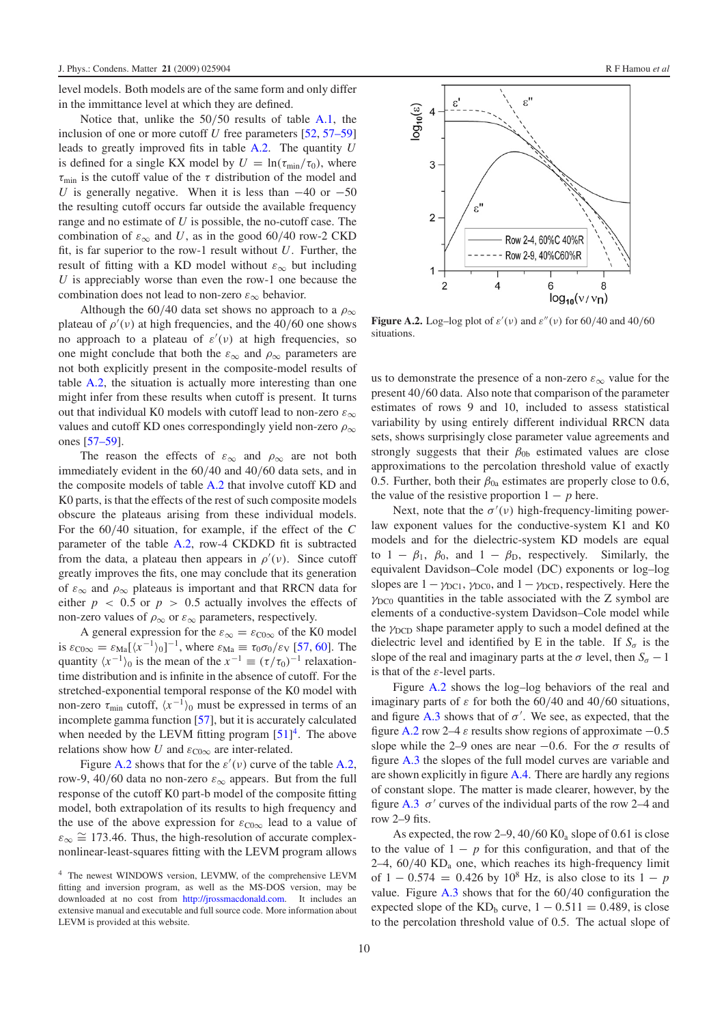level models. Both models are of the same form and only differ in the immittance level at which they are defined.

Notice that, unlike the 50/50 results of table [A.1,](#page-8-0) the inclusion of one or more cutoff *U* free parameters [\[52,](#page-12-2) [57–59\]](#page-12-7) leads to greatly improved fits in table [A.2.](#page-8-1) The quantity *U* is defined for a single KX model by  $U = \ln(\tau_{min}/\tau_0)$ , where  $\tau_{\text{min}}$  is the cutoff value of the  $\tau$  distribution of the model and *U* is generally negative. When it is less than  $-40$  or  $-50$ the resulting cutoff occurs far outside the available frequency range and no estimate of *U* is possible, the no-cutoff case. The combination of  $\varepsilon_{\infty}$  and *U*, as in the good 60/40 row-2 CKD fit, is far superior to the row-1 result without *U*. Further, the result of fitting with a KD model without  $\varepsilon_{\infty}$  but including *U* is appreciably worse than even the row-1 one because the combination does not lead to non-zero  $\varepsilon_{\infty}$  behavior.

Although the 60/40 data set shows no approach to a  $\rho_{\infty}$ plateau of  $\rho'(v)$  at high frequencies, and the 40/60 one shows no approach to a plateau of  $\varepsilon'(v)$  at high frequencies, so one might conclude that both the  $\varepsilon_{\infty}$  and  $\rho_{\infty}$  parameters are not both explicitly present in the composite-model results of table [A.2,](#page-8-1) the situation is actually more interesting than one might infer from these results when cutoff is present. It turns out that individual K0 models with cutoff lead to non-zero  $\varepsilon_{\infty}$ values and cutoff KD ones correspondingly yield non-zero  $\rho_{\infty}$ ones [\[57–59\]](#page-12-7).

The reason the effects of  $\varepsilon_{\infty}$  and  $\rho_{\infty}$  are not both immediately evident in the 60/40 and 40/60 data sets, and in the composite models of table [A.2](#page-8-1) that involve cutoff KD and K0 parts, is that the effects of the rest of such composite models obscure the plateaus arising from these individual models. For the 60/40 situation, for example, if the effect of the *C* parameter of the table [A.2,](#page-8-1) row-4 CKDKD fit is subtracted from the data, a plateau then appears in  $\rho'(v)$ . Since cutoff greatly improves the fits, one may conclude that its generation of  $\varepsilon_{\infty}$  and  $\rho_{\infty}$  plateaus is important and that RRCN data for either  $p \, < \, 0.5$  or  $p \, > \, 0.5$  actually involves the effects of non-zero values of  $\rho_{\infty}$  or  $\varepsilon_{\infty}$  parameters, respectively.

A general expression for the  $\varepsilon_{\infty} = \varepsilon_{\text{C0}\infty}$  of the K0 model is  $\varepsilon_{\text{C0}\infty} = \varepsilon_{\text{Ma}} [\langle x^{-1} \rangle_0]^{-1}$ , where  $\varepsilon_{\text{Ma}} \equiv \tau_0 \sigma_0 / \varepsilon_{\text{V}}$  [\[57,](#page-12-7) [60\]](#page-12-8). The quantity  $\langle x^{-1} \rangle_0$  is the mean of the  $x^{-1} \equiv (\tau/\tau_0)^{-1}$  relaxationtime distribution and is infinite in the absence of cutoff. For the stretched-exponential temporal response of the K0 model with non-zero  $\tau_{\text{min}}$  cutoff,  $\langle x^{-1} \rangle_0$  must be expressed in terms of an incomplete gamma function [\[57\]](#page-12-7), but it is accurately calculated when needed by the LEVM fitting program  $[51]$ <sup>4</sup>. The above relations show how *U* and  $\varepsilon_{\text{CO}\infty}$  are inter-related.

<span id="page-9-0"></span>Figure [A.2](#page-9-1) shows that for the  $\varepsilon'(\nu)$  curve of the table [A.2,](#page-8-1) row-9, 40/60 data no non-zero  $\varepsilon_{\infty}$  appears. But from the full response of the cutoff K0 part-b model of the composite fitting model, both extrapolation of its results to high frequency and the use of the above expression for  $\varepsilon_{\text{C0}\infty}$  lead to a value of  $\varepsilon_{\infty} \cong 173.46$ . Thus, the high-resolution of accurate complexnonlinear-least-squares fitting with the LEVM program allows

<span id="page-9-1"></span>

**Figure A.2.** Log-log plot of  $\varepsilon'(v)$  and  $\varepsilon''(v)$  for 60/40 and 40/60 situations.

us to demonstrate the presence of a non-zero  $\varepsilon_{\infty}$  value for the present 40/60 data. Also note that comparison of the parameter estimates of rows 9 and 10, included to assess statistical variability by using entirely different individual RRCN data sets, shows surprisingly close parameter value agreements and strongly suggests that their  $\beta_{0b}$  estimated values are close approximations to the percolation threshold value of exactly 0.5. Further, both their  $\beta_{0a}$  estimates are properly close to 0.6, the value of the resistive proportion  $1 - p$  here.

Next, note that the  $\sigma'(\nu)$  high-frequency-limiting powerlaw exponent values for the conductive-system K1 and K0 models and for the dielectric-system KD models are equal to  $1 - \beta_1$ ,  $\beta_0$ , and  $1 - \beta_{\text{D}}$ , respectively. Similarly, the equivalent Davidson–Cole model (DC) exponents or log–log slopes are  $1 - \gamma_{\text{DC1}}$ ,  $\gamma_{\text{DC0}}$ , and  $1 - \gamma_{\text{DCD}}$ , respectively. Here the  $\gamma_{DC0}$  quantities in the table associated with the Z symbol are elements of a conductive-system Davidson–Cole model while the  $\gamma_{\text{DCD}}$  shape parameter apply to such a model defined at the dielectric level and identified by E in the table. If  $S_{\sigma}$  is the slope of the real and imaginary parts at the  $\sigma$  level, then  $S_{\sigma} - 1$ is that of the  $\varepsilon$ -level parts.

Figure [A.2](#page-9-1) shows the log–log behaviors of the real and imaginary parts of  $\varepsilon$  for both the 60/40 and 40/60 situations, and figure [A.3](#page-10-2) shows that of  $\sigma'$ . We see, as expected, that the figure [A.2](#page-9-1) row 2–4  $\varepsilon$  results show regions of approximate  $-0.5$ slope while the 2–9 ones are near –0.6. For the  $\sigma$  results of figure [A.3](#page-10-2) the slopes of the full model curves are variable and are shown explicitly in figure  $A.4$ . There are hardly any regions of constant slope. The matter is made clearer, however, by the figure [A.3](#page-10-2)  $\sigma'$  curves of the individual parts of the row 2–4 and row 2–9 fits.

As expected, the row  $2-9$ ,  $40/60$  KO<sub>a</sub> slope of 0.61 is close to the value of  $1 - p$  for this configuration, and that of the  $2-4$ ,  $60/40$  KD<sub>a</sub> one, which reaches its high-frequency limit of  $1 - 0.574 = 0.426$  by  $10^8$  Hz, is also close to its  $1 - p$ value. Figure [A.3](#page-10-2) shows that for the 60/40 configuration the expected slope of the  $KD<sub>b</sub>$  curve,  $1 - 0.511 = 0.489$ , is close to the percolation threshold value of 0.5. The actual slope of

<sup>4</sup> The newest WINDOWS version, LEVMW, of the comprehensive LEVM fitting and inversion program, as well as the MS-DOS version, may be downloaded at no cost from [http://jrossmacdonald.com.](http://jrossmacdonald.com) It includes an extensive manual and executable and full source code. More information about LEVM is provided at this website.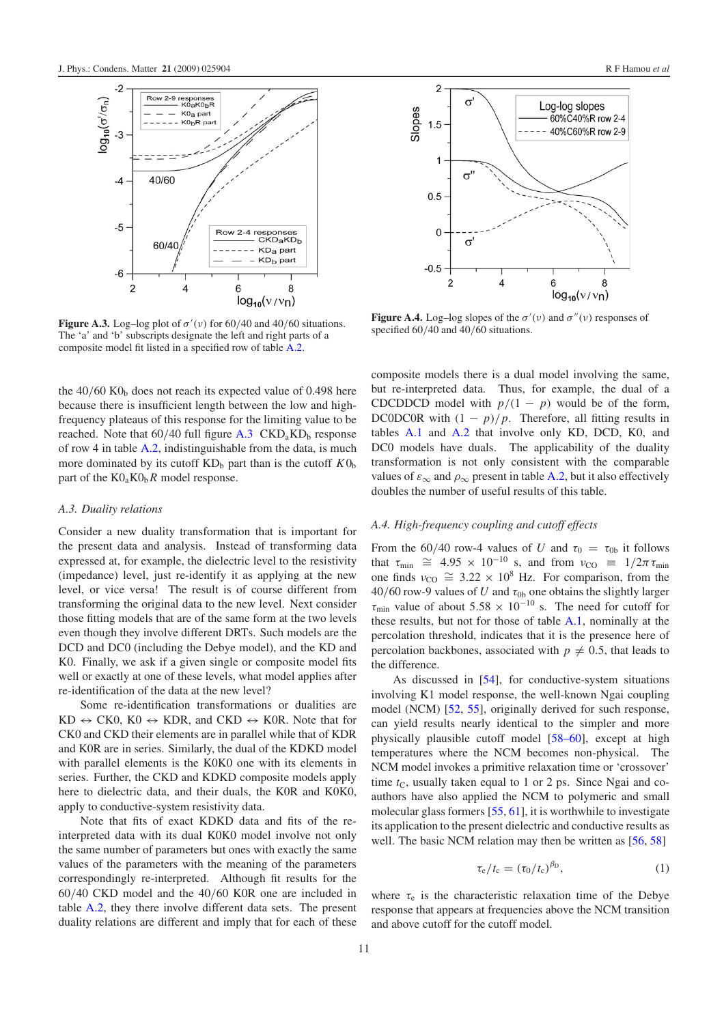<span id="page-10-2"></span>

**Figure A.3.** Log-log plot of  $\sigma'(v)$  for 60/40 and 40/60 situations. The 'a' and 'b' subscripts designate the left and right parts of a composite model fit listed in a specified row of table [A.2.](#page-8-1)

<span id="page-10-0"></span>the  $40/60$  KO<sub>b</sub> does not reach its expected value of 0.498 here because there is insufficient length between the low and highfrequency plateaus of this response for the limiting value to be reached. Note that  $60/40$  full figure  $A.3$  CKD<sub>a</sub>KD<sub>b</sub> response of row 4 in table [A.2,](#page-8-1) indistinguishable from the data, is much more dominated by its cutoff  $KD<sub>b</sub>$  part than is the cutoff  $K0<sub>b</sub>$ part of the  $K_0$ <sub>*R*</sub> $K_0$ <sub>*R*</sub> $R$  model response.

#### *A.3. Duality relations*

Consider a new duality transformation that is important for the present data and analysis. Instead of transforming data expressed at, for example, the dielectric level to the resistivity (impedance) level, just re-identify it as applying at the new level, or vice versa! The result is of course different from transforming the original data to the new level. Next consider those fitting models that are of the same form at the two levels even though they involve different DRTs. Such models are the DCD and DC0 (including the Debye model), and the KD and K0. Finally, we ask if a given single or composite model fits well or exactly at one of these levels, what model applies after re-identification of the data at the new level?

Some re-identification transformations or dualities are  $KD \leftrightarrow CK0$ ,  $K0 \leftrightarrow KDR$ , and  $CKD \leftrightarrow K0R$ . Note that for CK0 and CKD their elements are in parallel while that of KDR and K0R are in series. Similarly, the dual of the KDKD model with parallel elements is the K0K0 one with its elements in series. Further, the CKD and KDKD composite models apply here to dielectric data, and their duals, the K0R and K0K0, apply to conductive-system resistivity data.

Note that fits of exact KDKD data and fits of the reinterpreted data with its dual K0K0 model involve not only the same number of parameters but ones with exactly the same values of the parameters with the meaning of the parameters correspondingly re-interpreted. Although fit results for the 60/40 CKD model and the 40/60 K0R one are included in table [A.2,](#page-8-1) they there involve different data sets. The present duality relations are different and imply that for each of these

<span id="page-10-3"></span>

**Figure A.4.** Log-log slopes of the  $\sigma'(v)$  and  $\sigma''(v)$  responses of specified  $60/40$  and  $40/60$  situations.

<span id="page-10-1"></span>composite models there is a dual model involving the same, but re-interpreted data. Thus, for example, the dual of a CDCDDCD model with  $p/(1 - p)$  would be of the form, DC0DC0R with  $(1 - p)/p$ . Therefore, all fitting results in tables [A.1](#page-8-0) and [A.2](#page-8-1) that involve only KD, DCD, K0, and DC0 models have duals. The applicability of the duality transformation is not only consistent with the comparable values of  $\varepsilon_{\infty}$  and  $\rho_{\infty}$  present in table [A.2,](#page-8-1) but it also effectively doubles the number of useful results of this table.

#### *A.4. High-frequency coupling and cutoff effects*

From the 60/40 row-4 values of *U* and  $\tau_0 = \tau_{0b}$  it follows that  $\tau_{\min} \cong 4.95 \times 10^{-10}$  s, and from  $v_{\text{CO}} \equiv 1/2\pi \tau_{\min}$ one finds  $v_{\text{CO}} \cong 3.22 \times 10^8$  Hz. For comparison, from the  $40/60$  row-9 values of *U* and  $\tau_{0b}$  one obtains the slightly larger  $\tau_{\text{min}}$  value of about 5.58 × 10<sup>-10</sup> s. The need for cutoff for these results, but not for those of table [A.1,](#page-8-0) nominally at the percolation threshold, indicates that it is the presence here of percolation backbones, associated with  $p \neq 0.5$ , that leads to the difference.

As discussed in [\[54\]](#page-12-4), for conductive-system situations involving K1 model response, the well-known Ngai coupling model (NCM) [\[52,](#page-12-2) [55\]](#page-12-5), originally derived for such response, can yield results nearly identical to the simpler and more physically plausible cutoff model [\[58–60\]](#page-12-9), except at high temperatures where the NCM becomes non-physical. The NCM model invokes a primitive relaxation time or 'crossover' time  $t<sub>C</sub>$ , usually taken equal to 1 or 2 ps. Since Ngai and coauthors have also applied the NCM to polymeric and small molecular glass formers [\[55,](#page-12-5) [61\]](#page-12-10), it is worthwhile to investigate its application to the present dielectric and conductive results as well. The basic NCM relation may then be written as [\[56,](#page-12-6) [58\]](#page-12-9)

<span id="page-10-4"></span>
$$
\tau_{\rm e}/t_{\rm c} = (\tau_0/t_{\rm c})^{\beta_{\rm D}},\tag{1}
$$

where  $\tau_e$  is the characteristic relaxation time of the Debye response that appears at frequencies above the NCM transition and above cutoff for the cutoff model.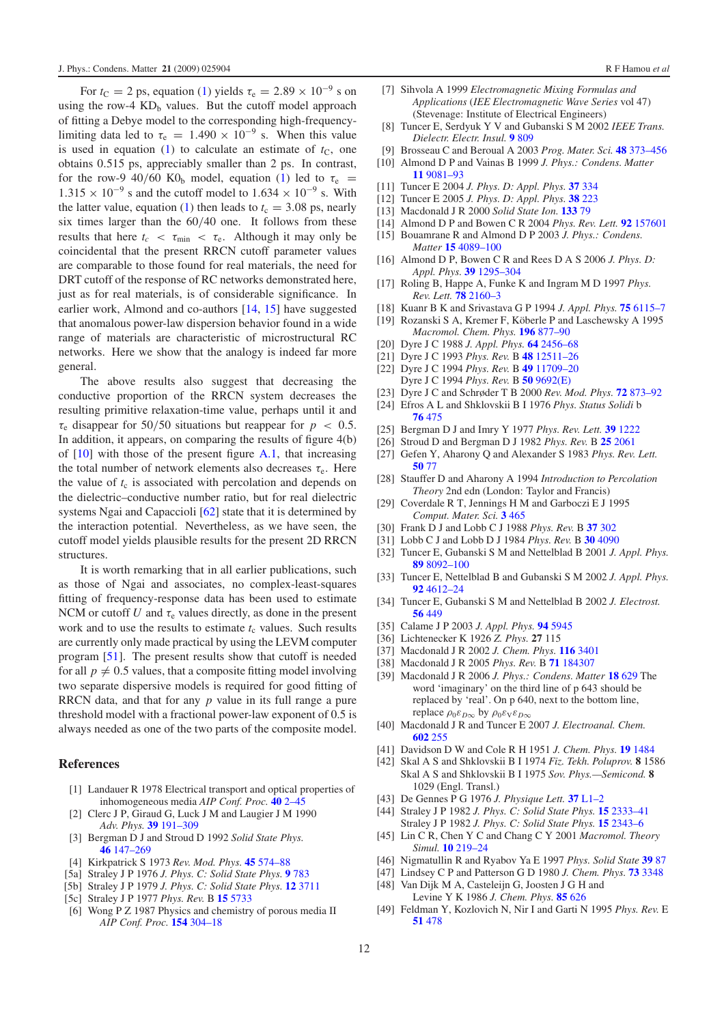For  $t_c = 2$  ps, equation [\(1\)](#page-10-4) yields  $\tau_e = 2.89 \times 10^{-9}$  s on using the row-4  $KD<sub>b</sub>$  values. But the cutoff model approach of fitting a Debye model to the corresponding high-frequencylimiting data led to  $\tau_e = 1.490 \times 10^{-9}$  s. When this value is used in equation [\(1\)](#page-10-4) to calculate an estimate of  $t<sub>C</sub>$ , one obtains 0.515 ps, appreciably smaller than 2 ps. In contrast, for the row-9 40/60 K0<sub>b</sub> model, equation [\(1\)](#page-10-4) led to  $\tau_e$  =  $1.315 \times 10^{-9}$  s and the cutoff model to  $1.634 \times 10^{-9}$  s. With the latter value, equation [\(1\)](#page-10-4) then leads to  $t_c = 3.08$  ps, nearly six times larger than the 60/40 one. It follows from these results that here  $t_c < \tau_{\min} < \tau_e$ . Although it may only be coincidental that the present RRCN cutoff parameter values are comparable to those found for real materials, the need for DRT cutoff of the response of RC networks demonstrated here, just as for real materials, is of considerable significance. In earlier work, Almond and co-authors [\[14,](#page-11-6) [15\]](#page-11-13) have suggested that anomalous power-law dispersion behavior found in a wide range of materials are characteristic of microstructural RC networks. Here we show that the analogy is indeed far more general.

The above results also suggest that decreasing the conductive proportion of the RRCN system decreases the resulting primitive relaxation-time value, perhaps until it and  $\tau_e$  disappear for 50/50 situations but reappear for  $p < 0.5$ . In addition, it appears, on comparing the results of figure 4(b) of  $[10]$  with those of the present figure [A.1,](#page-7-0) that increasing the total number of network elements also decreases  $\tau_e$ . Here the value of  $t_c$  is associated with percolation and depends on the dielectric–conductive number ratio, but for real dielectric systems Ngai and Capaccioli [\[62\]](#page-12-11) state that it is determined by the interaction potential. Nevertheless, as we have seen, the cutoff model yields plausible results for the present 2D RRCN structures.

It is worth remarking that in all earlier publications, such as those of Ngai and associates, no complex-least-squares fitting of frequency-response data has been used to estimate NCM or cutoff *U* and  $\tau_e$  values directly, as done in the present work and to use the results to estimate  $t_c$  values. Such results are currently only made practical by using the LEVM computer program [\[51\]](#page-12-1). The present results show that cutoff is needed for all  $p \neq 0.5$  values, that a composite fitting model involving two separate dispersive models is required for good fitting of RRCN data, and that for any *p* value in its full range a pure threshold model with a fractional power-law exponent of 0.5 is always needed as one of the two parts of the composite model.

### <span id="page-11-7"></span><span id="page-11-2"></span><span id="page-11-1"></span><span id="page-11-0"></span>**References**

- <span id="page-11-14"></span>[1] Landauer R 1978 Electrical transport and optical properties of inhomogeneous media *AIP Conf. Proc.* **40** [2–45](http://dx.doi.org/10.1063/1.31150)
- [2] Clerc J P, Giraud G, Luck J M and Laugier J M 1990 *Adv. Phys.* **39** [191–309](http://dx.doi.org/10.1080/00018739000101501)
- [3] Bergman D J and Stroud D 1992 *Solid State Phys.* **46** [147–269](http://dx.doi.org/10.1016/S0081-1947(08)60398-7)
- [4] Kirkpatrick S 1973 *Rev. Mod. Phys.* **45** [574–88](http://dx.doi.org/10.1103/RevModPhys.45.574)
- [5a] Straley J P 1976 *J. Phys. C: Solid State Phys.* **9** [783](http://dx.doi.org/10.1088/0022-3719/9/5/017)
- [5b] Straley J P 1979 *J. Phys. C: Solid State Phys.* **12** [3711](http://dx.doi.org/10.1088/0022-3719/12/18/015)
- [5c] Straley J P 1977 *Phys. Rev.* B **15** [5733](http://dx.doi.org/10.1103/PhysRevB.15.5733)
- [6] Wong P Z 1987 Physics and chemistry of porous media II *AIP Conf. Proc.* **154** [304–18](http://dx.doi.org/10.1063/1.36383)
- <span id="page-11-10"></span><span id="page-11-9"></span><span id="page-11-8"></span><span id="page-11-3"></span>[7] Sihvola A 1999 *Electromagnetic Mixing Formulas and Applications* (*IEE Electromagnetic Wave Series* vol 47) (Stevenage: Institute of Electrical Engineers)
- <span id="page-11-6"></span><span id="page-11-5"></span><span id="page-11-4"></span>[8] Tuncer E, Serdyuk Y V and Gubanski S M 2002 *IEEE Trans. Dielectr. Electr. Insul.* **9** [809](http://dx.doi.org/10.1109/TDEI.2002.1038664)
- <span id="page-11-13"></span>[9] Brosseau C and Beroual A 2003 *Prog. Mater. Sci.* **48** [373–456](http://dx.doi.org/10.1016/S0079-6425(02)00013-0) [10] Almond D P and Vainas B 1999 *J. Phys.: Condens. Matter*
- <span id="page-11-20"></span>**11** [9081–93](http://dx.doi.org/10.1088/0953-8984/11/46/310)
- [11] Tuncer E 2004 *J. Phys. D: Appl. Phys.* **37** [334](http://dx.doi.org/10.1088/0022-3727/37/3/004)
- <span id="page-11-11"></span>[12] Tuncer E 2005 *J. Phys. D: Appl. Phys.* **38** [223](http://dx.doi.org/10.1088/0022-3727/38/2/006)
- [13] Macdonald J R 2000 *Solid State Ion.* **[133](http://dx.doi.org/10.1016/S0167-2738(00)00737-2)** 79
- [14] Almond D P and Bowen C R 2004 *Phys. Rev. Lett.* **92** [157601](http://dx.doi.org/10.1103/PhysRevLett.92.157601)
- [15] Bouamrane R and Almond D P 2003 *J. Phys.: Condens. Matter* **15** [4089–100](http://dx.doi.org/10.1088/0953-8984/15/24/302)
- [16] Almond D P, Bowen C R and Rees D A S 2006 *J. Phys. D: Appl. Phys.* **39** [1295–304](http://dx.doi.org/10.1088/0022-3727/39/7/S03)
- [17] Roling B, Happe A, Funke K and Ingram M D 1997 *Phys. Rev. Lett.* **78** [2160–3](http://dx.doi.org/10.1103/PhysRevLett.78.2160)
- [18] Kuanr B K and Srivastava G P 1994 *J. Appl. Phys.* **75** [6115–7](http://dx.doi.org/10.1063/1.355478)
- <span id="page-11-27"></span>[19] Rozanski S A, Kremer F, Köberle P and Laschewsky A 1995 *Macromol. Chem. Phys.* **196** [877–90](http://dx.doi.org/10.1002/macp.1995.021960316)
- [20] Dyre J C 1988 *J. Appl. Phys.* **64** [2456–68](http://dx.doi.org/10.1063/1.341681)
- [21] Dyre J C 1993 *Phys. Rev.* B **48** [12511–26](http://dx.doi.org/10.1103/PhysRevB.48.12511)
- [22] Dyre J C 1994 *Phys. Rev.* B **49** [11709–20](http://dx.doi.org/10.1103/PhysRevB.49.11709) Dyre J C 1994 *Phys. Rev.* B **50** [9692\(E\)](http://dx.doi.org/10.1103/PhysRevB.50.9692.2)
- [23] Dyre J C and Schrøder T B 2000 *Rev. Mod. Phys.* **72** [873–92](http://dx.doi.org/10.1103/RevModPhys.72.873)
- <span id="page-11-15"></span>[24] Efros A L and Shklovskii B I 1976 *Phys. Status Solidi* b **76** [475](http://dx.doi.org/10.1002/pssb.2220760205)
- [25] Bergman D J and Imry Y 1977 *Phys. Rev. Lett.* **39** [1222](http://dx.doi.org/10.1103/PhysRevLett.39.1222)
- <span id="page-11-23"></span>[26] Stroud D and Bergman D J 1982 *Phys. Rev.* B **25** [2061](http://dx.doi.org/10.1103/PhysRevB.25.2061)
- <span id="page-11-24"></span><span id="page-11-17"></span>[27] Gefen Y, Aharony Q and Alexander S 1983 *Phys. Rev. Lett.* **[50](http://dx.doi.org/10.1103/PhysRevLett.50.77)** 77
- <span id="page-11-18"></span>[28] Stauffer D and Aharony A 1994 *Introduction to Percolation Theory* 2nd edn (London: Taylor and Francis)
- <span id="page-11-19"></span>[29] Coverdale R T, Jennings H M and Garboczi E J 1995 *Comput. Mater. Sci.* **3** [465](http://dx.doi.org/10.1016/0927-0256(95)00005-B)
- [30] Frank D J and Lobb C J 1988 *Phys. Rev.* B **37** [302](http://dx.doi.org/10.1103/PhysRevB.37.302)
- <span id="page-11-30"></span>[31] Lobb C J and Lobb D J 1984 *Phys. Rev.* B **30** [4090](http://dx.doi.org/10.1103/PhysRevB.30.4090)
- <span id="page-11-22"></span><span id="page-11-21"></span>[32] Tuncer E, Gubanski S M and Nettelblad B 2001 *J. Appl. Phys.* **89** [8092–100](http://dx.doi.org/10.1063/1.1372363)
- <span id="page-11-32"></span><span id="page-11-31"></span>[33] Tuncer E, Nettelblad B and Gubanski S M 2002 *J. Appl. Phys.* **92** [4612–24](http://dx.doi.org/10.1063/1.1505975)
- [34] Tuncer E, Gubanski S M and Nettelblad B 2002 *J. Electrost.* **56** [449](http://dx.doi.org/10.1016/S0304-3886(02)00108-0)
- [35] Calame J P 2003 *J. Appl. Phys.* **94** [5945](http://dx.doi.org/10.1063/1.1615302)
- [36] Lichtenecker K 1926 *Z. Phys.* **27** 115
- [37] Macdonald J R 2002 *J. Chem. Phys.* **116** [3401](http://dx.doi.org/10.1063/1.1434953)
- <span id="page-11-12"></span>[38] Macdonald J R 2005 *Phys. Rev.* B **71** [184307](http://dx.doi.org/10.1103/PhysRevB.71.184307)
- [39] Macdonald J R 2006 *J. Phys.: Condens. Matter* **18** [629](http://dx.doi.org/10.1088/0953-8984/18/2/019) The word 'imaginary' on the third line of p 643 should be replaced by 'real'. On p 640, next to the bottom line, replace  $\rho_0 \varepsilon_{D\infty}$  by  $\rho_0 \varepsilon_{V} \varepsilon_{D\infty}$
- [40] Macdonald J R and Tuncer E 2007 *J. Electroanal. Chem.* **[602](http://dx.doi.org/10.1016/j.jelechem.2007.01.006)** 255
- <span id="page-11-16"></span>[41] Davidson D W and Cole R H 1951 *J. Chem. Phys.* **19** [1484](http://dx.doi.org/10.1063/1.1748105)
- <span id="page-11-25"></span>[42] Skal A S and Shklovskii B I 1974 *Fiz. Tekh. Poluprov.* **8** 1586 Skal A S and Shklovskii B I 1975 *Sov. Phys.—Semicond.* **8** 1029 (Engl. Transl.)
- <span id="page-11-28"></span><span id="page-11-26"></span>[43] De Gennes P G 1976 *J. Physique Lett.* **37** [L1–2](http://dx.doi.org/10.1051/jphyslet:019760037010100)
- <span id="page-11-29"></span>[44] Straley J P 1982 *J. Phys. C: Solid State Phys.* **15** [2333–41](http://dx.doi.org/10.1088/0022-3719/15/11/013) Straley J P 1982 *J. Phys. C: Solid State Phys.* **15** [2343–6](http://dx.doi.org/10.1088/0022-3719/15/11/014)
- [45] Lin C R, Chen Y C and Chang C Y 2001 *Macromol. Theory Simul.* **10** [219–24](http://dx.doi.org/10.1002/1521-3919(20010401)10:4<219::AID-MATS219>3.0.CO;2-V)
- [46] Nigmatullin R and Ryabov Ya E 1997 *Phys. Solid State* **[39](http://dx.doi.org/10.1134/1.1129804)** 87
- [47] Lindsey C P and Patterson G D 1980 *J. Chem. Phys.* **73** [3348](http://dx.doi.org/10.1063/1.440530)
- [48] Van Dijk M A, Casteleijn G, Joosten J G H and Levine Y K 1986 *J. Chem. Phys.* **85** [626](http://dx.doi.org/10.1063/1.451588)
- [49] Feldman Y, Kozlovich N, Nir I and Garti N 1995 *Phys. Rev.* E **51** [478](http://dx.doi.org/10.1103/PhysRevE.51.478)